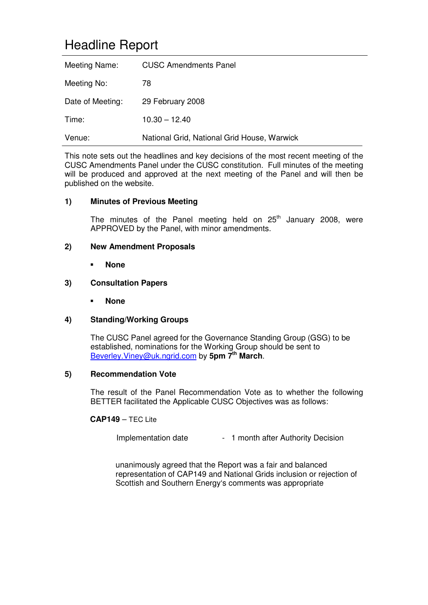# Headline Report

| Meeting Name:    | <b>CUSC Amendments Panel</b>                |
|------------------|---------------------------------------------|
| Meeting No:      | 78                                          |
| Date of Meeting: | 29 February 2008                            |
| Time:            | $10.30 - 12.40$                             |
| Venue:           | National Grid, National Grid House, Warwick |

This note sets out the headlines and key decisions of the most recent meeting of the CUSC Amendments Panel under the CUSC constitution. Full minutes of the meeting will be produced and approved at the next meeting of the Panel and will then be published on the website.

# **1) Minutes of Previous Meeting**

The minutes of the Panel meeting held on  $25<sup>th</sup>$  January 2008, were APPROVED by the Panel, with minor amendments.

# **2) New Amendment Proposals**

**None**

#### **3) Consultation Papers**

**None**

# **4) Standing/Working Groups**

The CUSC Panel agreed for the Governance Standing Group (GSG) to be established, nominations for the Working Group should be sent to Beverley.Viney@uk.ngrid.com by **5pm 7th March**.

#### **5) Recommendation Vote**

The result of the Panel Recommendation Vote as to whether the following BETTER facilitated the Applicable CUSC Objectives was as follows:

# **CAP149** – TEC Lite

Implementation date - 1 month after Authority Decision

unanimously agreed that the Report was a fair and balanced representation of CAP149 and National Grids inclusion or rejection of Scottish and Southern Energy's comments was appropriate